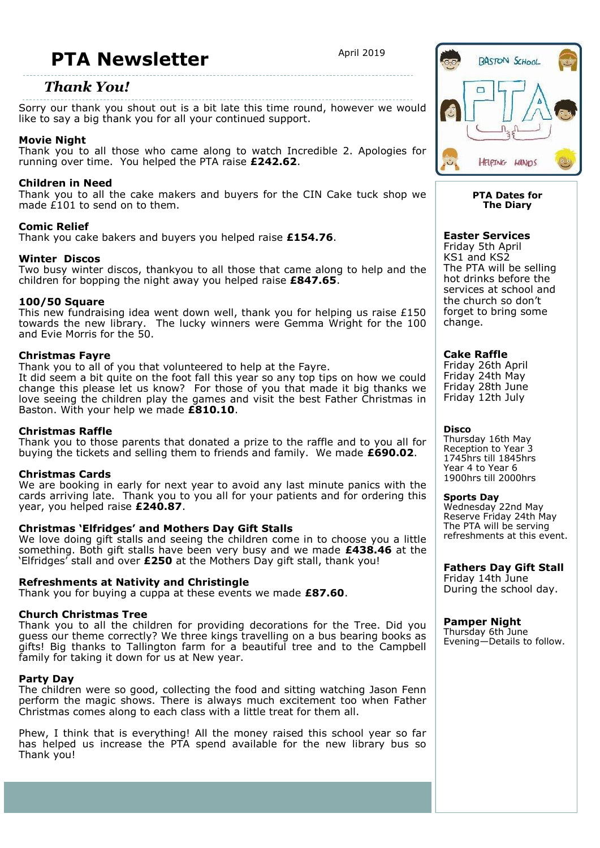# **PTA Newsletter**  $\frac{4}{2019}$

### *Thank You!*

Sorry our thank you shout out is a bit late this time round, however we would like to say a big thank you for all your continued support.

#### **Movie Night**

Thank you to all those who came along to watch Incredible 2. Apologies for running over time. You helped the PTA raise **£242.62**.

### **Children in Need**

Thank you to all the cake makers and buyers for the CIN Cake tuck shop we made  $E(101)$  to send on to them.

#### **Comic Relief**

Thank you cake bakers and buyers you helped raise **£154.76**.

#### **Winter Discos**

Two busy winter discos, thankyou to all those that came along to help and the children for bopping the night away you helped raise **£847.65**.

#### **100/50 Square**

This new fundraising idea went down well, thank you for helping us raise  $£150$ towards the new library. The lucky winners were Gemma Wright for the 100 and Evie Morris for the 50.

#### **Christmas Fayre**

Thank you to all of you that volunteered to help at the Fayre. It did seem a bit quite on the foot fall this year so any top tips on how we could change this please let us know? For those of you that made it big thanks we love seeing the children play the games and visit the best Father Christmas in Baston. With your help we made **£810.10**.

#### **Christmas Raffle**

Thank you to those parents that donated a prize to the raffle and to you all for buying the tickets and selling them to friends and family. We made **£690.02**.

#### **Christmas Cards**

We are booking in early for next year to avoid any last minute panics with the cards arriving late. Thank you to you all for your patients and for ordering this year, you helped raise **£240.87**.

#### **Christmas 'Elfridges' and Mothers Day Gift Stalls**

We love doing gift stalls and seeing the children come in to choose you a little something. Both gift stalls have been very busy and we made **£438.46** at the 'Elfridges' stall and over **£250** at the Mothers Day gift stall, thank you!

#### **Refreshments at Nativity and Christingle**

Thank you for buying a cuppa at these events we made **£87.60**.

#### **Church Christmas Tree**

Thank you to all the children for providing decorations for the Tree. Did you guess our theme correctly? We three kings travelling on a bus bearing books as gifts! Big thanks to Tallington farm for a beautiful tree and to the Campbell family for taking it down for us at New year.

#### **Party Day**

The children were so good, collecting the food and sitting watching Jason Fenn perform the magic shows. There is always much excitement too when Father Christmas comes along to each class with a little treat for them all.

Phew, I think that is everything! All the money raised this school year so far has helped us increase the PTA spend available for the new library bus so Thank you!



#### **PTA Dates for The Diary**

#### **Easter Services**

Friday 5th April KS1 and KS2 The PTA will be selling hot drinks before the services at school and the church so don't forget to bring some change.

#### **Cake Raffle**

Friday 26th April Friday 24th May Friday 28th June Friday 12th July

#### **Disco**

Thursday 16th May Reception to Year 3 1745hrs till 1845hrs Year 4 to Year 6 1900hrs till 2000hrs

**Sports Day**

Wednesday 22nd May Reserve Friday 24th May The PTA will be serving refreshments at this event.

### **Fathers Day Gift Stall**

Friday 14th June During the school day.

#### **Pamper Night**

Thursday 6th June Evening—Details to follow.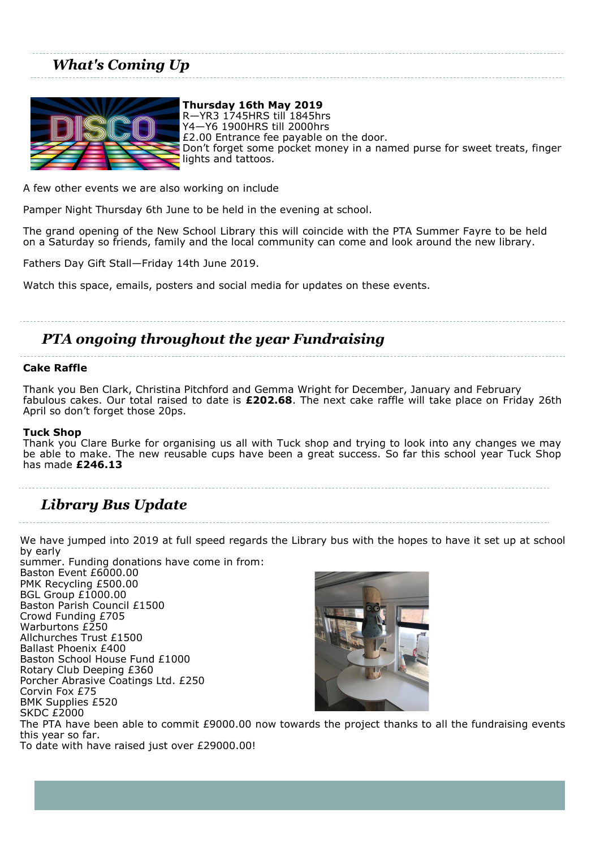## *What's Coming Up*



**Thursday 16th May 2019** R—YR3 1745HRS till 1845hrs Y4—Y6 1900HRS till 2000hrs £2.00 Entrance fee payable on the door. Don't forget some pocket money in a named purse for sweet treats, finger lights and tattoos.

A few other events we are also working on include

Pamper Night Thursday 6th June to be held in the evening at school.

The grand opening of the New School Library this will coincide with the PTA Summer Fayre to be held on a Saturday so friends, family and the local community can come and look around the new library.

Fathers Day Gift Stall—Friday 14th June 2019.

Watch this space, emails, posters and social media for updates on these events.

### *PTA ongoing throughout the year Fundraising*

#### **Cake Raffle**

Thank you Ben Clark, Christina Pitchford and Gemma Wright for December, January and February fabulous cakes. Our total raised to date is **£202.68**. The next cake raffle will take place on Friday 26th April so don't forget those 20ps.

#### **Tuck Shop**

Thank you Clare Burke for organising us all with Tuck shop and trying to look into any changes we may be able to make. The new reusable cups have been a great success. So far this school year Tuck Shop has made **£246.13**

### *Library Bus Update*

We have jumped into 2019 at full speed regards the Library bus with the hopes to have it set up at school by early

summer. Funding donations have come in from: Baston Event £6000.00 PMK Recycling £500.00 BGL Group £1000.00 Baston Parish Council £1500 Crowd Funding £705 Warburtons £250 Allchurches Trust £1500 Ballast Phoenix £400 Baston School House Fund £1000 Rotary Club Deeping £360 Porcher Abrasive Coatings Ltd. £250 Corvin Fox £75 BMK Supplies £520 SKDC £2000



The PTA have been able to commit £9000.00 now towards the project thanks to all the fundraising events this year so far.

To date with have raised just over £29000.00!